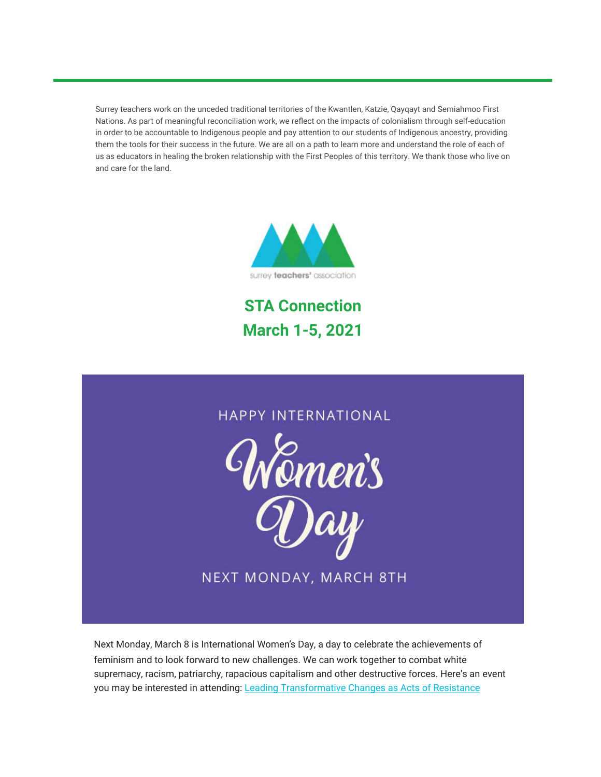Surrey teachers work on the unceded traditional territories of the Kwantlen, Katzie, Qayqayt and Semiahmoo First Nations. As part of meaningful reconciliation work, we reflect on the impacts of colonialism through self-education in order to be accountable to Indigenous people and pay attention to our students of Indigenous ancestry, providing them the tools for their success in the future. We are all on a path to learn more and understand the role of each of us as educators in healing the broken relationship with the First Peoples of this territory. We thank those who live on and care for the land.



**STA Connection March 1-5, 2021**



Next Monday, March 8 is International Women's Day, a day to celebrate the achievements of feminism and to look forward to new challenges. We can work together to combat white supremacy, racism, patriarchy, rapacious capitalism and other destructive forces. Here's an event you may be interested in attending: [Leading Transformative Changes as Acts of Resistance](https://www.eventbrite.ca/e/leading-transformative-changes-as-acts-of-resistance-tickets-143190156613)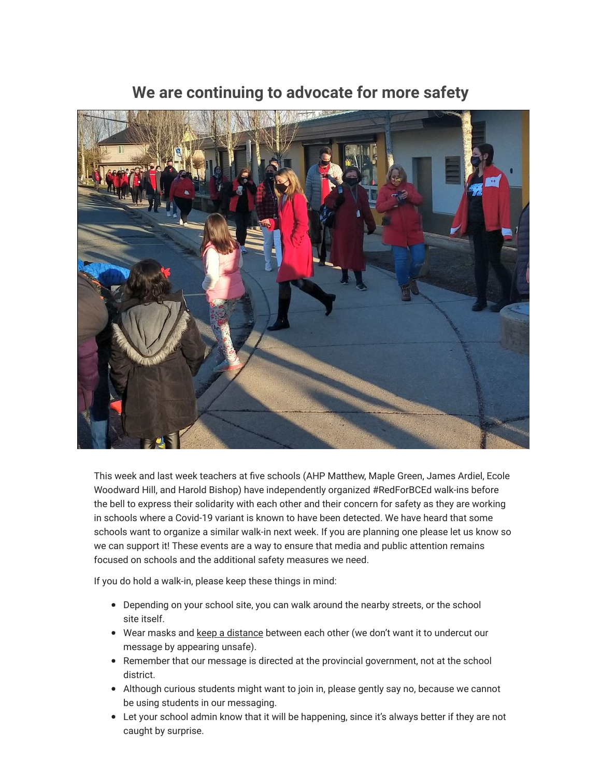

### **We are continuing to advocate for more safety**

This week and last week teachers at five schools (AHP Matthew, Maple Green, James Ardiel, Ecole Woodward Hill, and Harold Bishop) have independently organized #RedForBCEd walk-ins before the bell to express their solidarity with each other and their concern for safety as they are working in schools where a Covid-19 variant is known to have been detected. We have heard that some schools want to organize a similar walk-in next week. If you are planning one please let us know so we can support it! These events are a way to ensure that media and public attention remains focused on schools and the additional safety measures we need.

If you do hold a walk-in, please keep these things in mind:

- Depending on your school site, you can walk around the nearby streets, or the school site itself.
- Wear masks and keep a distance between each other (we don't want it to undercut our message by appearing unsafe).
- Remember that our message is directed at the provincial government, not at the school district.
- Although curious students might want to join in, please gently say no, because we cannot be using students in our messaging.
- Let your school admin know that it will be happening, since it's always better if they are not caught by surprise.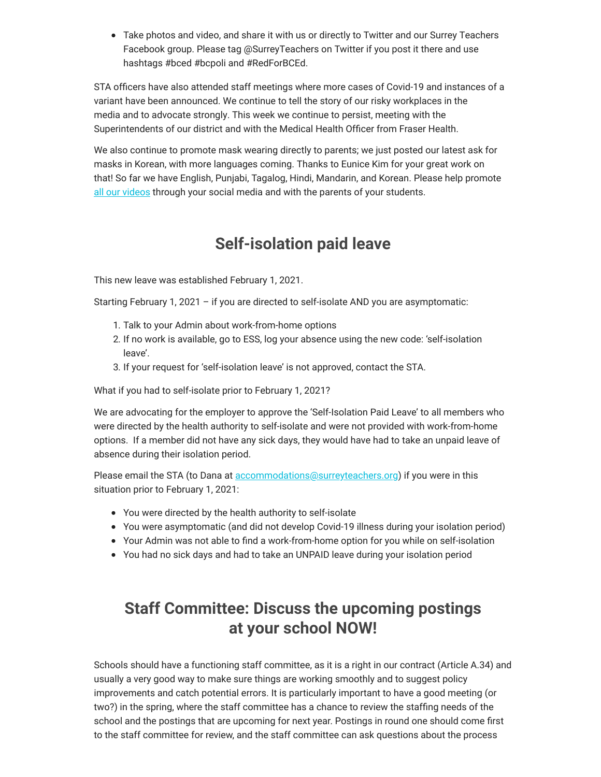Take photos and video, and share it with us or directly to Twitter and our Surrey Teachers Facebook group. Please tag @SurreyTeachers on Twitter if you post it there and use hashtags #bced #bcpoli and #RedForBCEd.

STA officers have also attended staff meetings where more cases of Covid-19 and instances of a variant have been announced. We continue to tell the story of our risky workplaces in the media and to advocate strongly. This week we continue to persist, meeting with the Superintendents of our district and with the Medical Health Officer from Fraser Health.

We also continue to promote mask wearing directly to parents; we just posted our latest ask for masks in Korean, with more languages coming. Thanks to Eunice Kim for your great work on that! So far we have English, Punjabi, Tagalog, Hindi, Mandarin, and Korean. Please help promote [all our videos](https://surreyteachers.us20.list-manage.com/track/click?u=37ec644ae87e34b54b3912660&id=b4a61cee40&e=7261da6bdb) through your social media and with the parents of your students.

### **Self-isolation paid leave**

This new leave was established February 1, 2021.

Starting February 1, 2021 – if you are directed to self-isolate AND you are asymptomatic:

- 1. Talk to your Admin about work-from-home options
- 2. If no work is available, go to ESS, log your absence using the new code: 'self-isolation leave'.
- 3. If your request for 'self-isolation leave' is not approved, contact the STA.

What if you had to self-isolate prior to February 1, 2021?

We are advocating for the employer to approve the 'Self-Isolation Paid Leave' to all members who were directed by the health authority to self-isolate and were not provided with work-from-home options. If a member did not have any sick days, they would have had to take an unpaid leave of absence during their isolation period.

Please email the STA (to Dana at [accommodations@surreyteachers.org\)](mailto:accommodations@surreyteachers.org) if you were in this situation prior to February 1, 2021:

- You were directed by the health authority to self-isolate
- You were asymptomatic (and did not develop Covid-19 illness during your isolation period)
- Your Admin was not able to find a work-from-home option for you while on self-isolation
- You had no sick days and had to take an UNPAID leave during your isolation period

### **Staff Committee: Discuss the upcoming postings at your school NOW!**

Schools should have a functioning staff committee, as it is a right in our contract (Article A.34) and usually a very good way to make sure things are working smoothly and to suggest policy improvements and catch potential errors. It is particularly important to have a good meeting (or two?) in the spring, where the staff committee has a chance to review the staffing needs of the school and the postings that are upcoming for next year. Postings in round one should come first to the staff committee for review, and the staff committee can ask questions about the process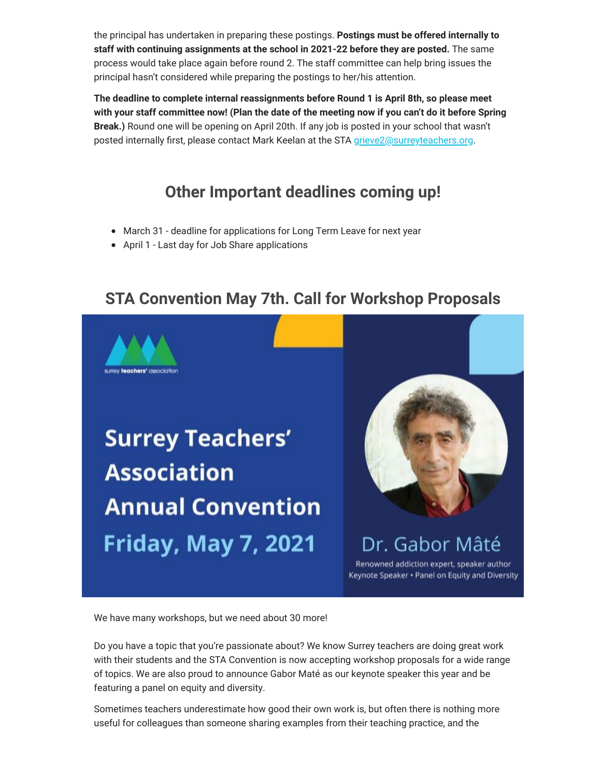the principal has undertaken in preparing these postings. **Postings must be offered internally to staff with continuing assignments at the school in 2021-22 before they are posted.** The same process would take place again before round 2. The staff committee can help bring issues the principal hasn't considered while preparing the postings to her/his attention.

**The deadline to complete internal reassignments before Round 1 is April 8th, so please meet with your staff committee now! (Plan the date of the meeting now if you can't do it before Spring Break.)** Round one will be opening on April 20th. If any job is posted in your school that wasn't posted internally first, please contact Mark Keelan at the STA [grieve2@surreyteachers.org](mailto:grieve2@surreyteachers.org).

### **Other Important deadlines coming up!**

- March 31 deadline for applications for Long Term Leave for next year
- April 1 Last day for Job Share applications

### **STA Convention May 7th. Call for Workshop Proposals**



# **Surrey Teachers' Association Annual Convention Friday, May 7, 2021**



Dr. Gabor Mâté Renowned addiction expert, speaker author

Keynote Speaker . Panel on Equity and Diversity

We have many workshops, but we need about 30 more!

Do you have a topic that you're passionate about? We know Surrey teachers are doing great work with their students and the STA Convention is now accepting workshop proposals for a wide range of topics. We are also proud to announce Gabor Maté as our keynote speaker this year and be featuring a panel on equity and diversity.

Sometimes teachers underestimate how good their own work is, but often there is nothing more useful for colleagues than someone sharing examples from their teaching practice, and the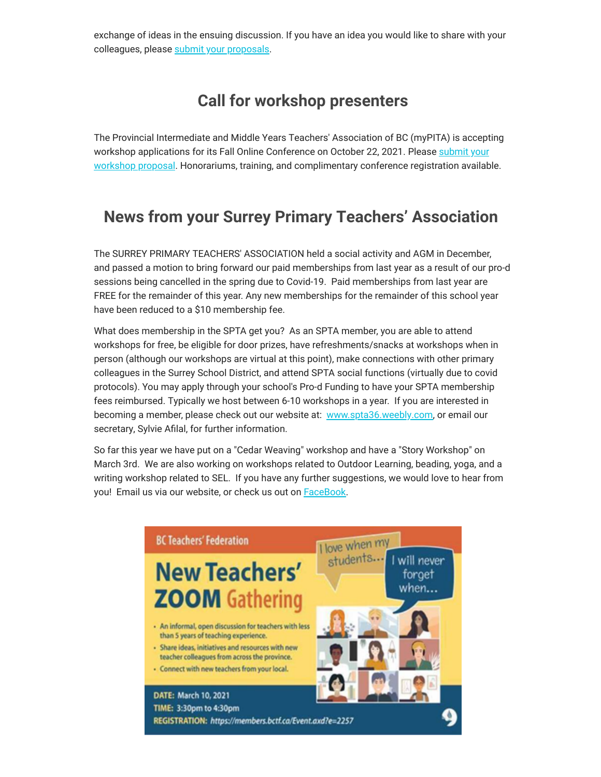exchange of ideas in the ensuing discussion. If you have an idea you would like to share with your colleagues, please [submit your proposals](https://surreyteachers.us20.list-manage.com/track/click?u=37ec644ae87e34b54b3912660&id=00a787b5a1&e=7261da6bdb).

### **Call for workshop presenters**

The Provincial Intermediate and Middle Years Teachers' Association of BC (myPITA) is accepting workshop applications for its Fall Online Conference on October 22, 2021. Please submit your [workshop proposal. Honorariums, training, and complimentary conference registration availab](https://surreyteachers.us20.list-manage.com/track/click?u=37ec644ae87e34b54b3912660&id=1afc384f25&e=7261da6bdb)le.

### **News from your Surrey Primary Teachers' Association**

The SURREY PRIMARY TEACHERS' ASSOCIATION held a social activity and AGM in December, and passed a motion to bring forward our paid memberships from last year as a result of our pro-d sessions being cancelled in the spring due to Covid-19. Paid memberships from last year are FREE for the remainder of this year. Any new memberships for the remainder of this school year have been reduced to a \$10 membership fee.

What does membership in the SPTA get you? As an SPTA member, you are able to attend workshops for free, be eligible for door prizes, have refreshments/snacks at workshops when in person (although our workshops are virtual at this point), make connections with other primary colleagues in the Surrey School District, and attend SPTA social functions (virtually due to covid protocols). You may apply through your school's Pro-d Funding to have your SPTA membership fees reimbursed. Typically we host between 6-10 workshops in a year. If you are interested in becoming a member, please check out our website at: [www.spta36.weebly.com,](https://surreyteachers.us20.list-manage.com/track/click?u=37ec644ae87e34b54b3912660&id=1f20653921&e=7261da6bdb) or email our secretary, Sylvie Afilal, for further information.

So far this year we have put on a "Cedar Weaving" workshop and have a "Story Workshop" on March 3rd. We are also working on workshops related to Outdoor Learning, beading, yoga, and a writing workshop related to SEL. If you have any further suggestions, we would love to hear from you! Email us via our website, or check us out on **[FaceBook](https://surreyteachers.us20.list-manage.com/track/click?u=37ec644ae87e34b54b3912660&id=fc070f11cf&e=7261da6bdb)**.

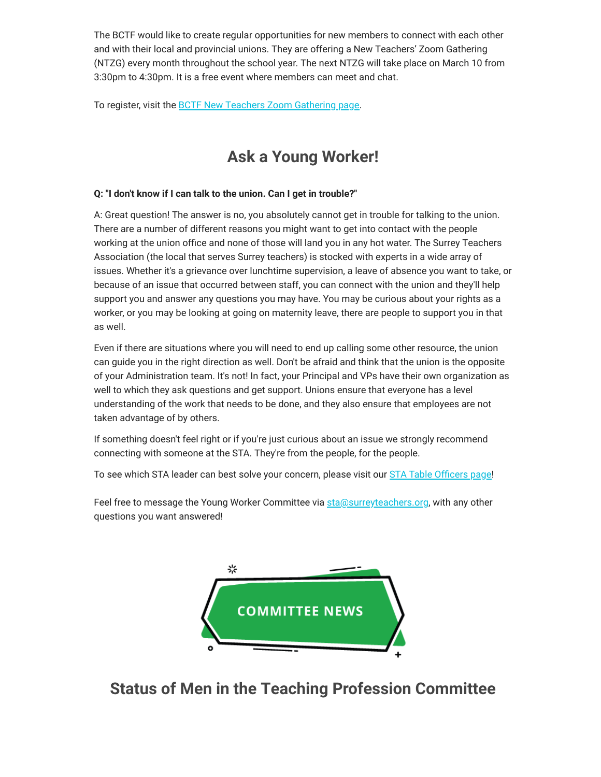The BCTF would like to create regular opportunities for new members to connect with each other and with their local and provincial unions. They are offering a New Teachers' Zoom Gathering (NTZG) every month throughout the school year. The next NTZG will take place on March 10 from 3:30pm to 4:30pm. It is a free event where members can meet and chat.

To register, visit the **BCTF New Teachers Zoom Gathering page**.

### **Ask a Young Worker!**

#### **Q: "I don't know if I can talk to the union. Can I get in trouble?"**

A: Great question! The answer is no, you absolutely cannot get in trouble for talking to the union. There are a number of different reasons you might want to get into contact with the people working at the union office and none of those will land you in any hot water. The Surrey Teachers Association (the local that serves Surrey teachers) is stocked with experts in a wide array of issues. Whether it's a grievance over lunchtime supervision, a leave of absence you want to take, or because of an issue that occurred between staff, you can connect with the union and they'll help support you and answer any questions you may have. You may be curious about your rights as a worker, or you may be looking at going on maternity leave, there are people to support you in that as well.

Even if there are situations where you will need to end up calling some other resource, the union can guide you in the right direction as well. Don't be afraid and think that the union is the opposite of your Administration team. It's not! In fact, your Principal and VPs have their own organization as well to which they ask questions and get support. Unions ensure that everyone has a level understanding of the work that needs to be done, and they also ensure that employees are not taken advantage of by others.

If something doesn't feel right or if you're just curious about an issue we strongly recommend connecting with someone at the STA. They're from the people, for the people.

To see which STA leader can best solve your concern, please visit our [STA Table Officers page!](https://surreyteachers.us20.list-manage.com/track/click?u=37ec644ae87e34b54b3912660&id=e809e8b662&e=7261da6bdb)

Feel free to message the Young Worker Committee via [sta@surreyteachers.org,](mailto:sta@surreyteachers.org) with any other questions you want answered!



**Status of Men in the Teaching Profession Committee**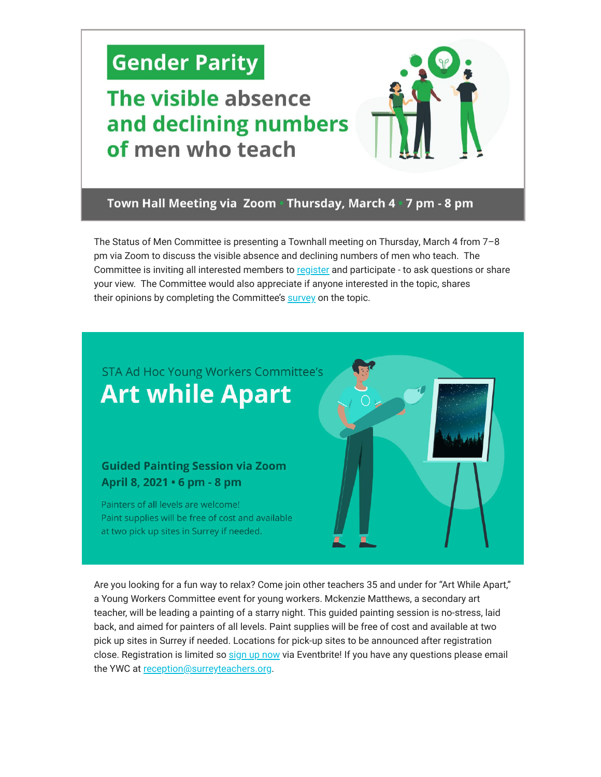# **Gender Parity**

## The visible absence and declining numbers of men who teach

#### Town Hall Meeting via Zoom · Thursday, March 4 · 7 pm - 8 pm

The Status of Men Committee is presenting a Townhall meeting on Thursday, March 4 from 7–8 pm via Zoom to discuss the visible absence and declining numbers of men who teach. The Committee is inviting all interested members to [register](https://surreyteachers.us20.list-manage.com/track/click?u=37ec644ae87e34b54b3912660&id=2d060ea7cb&e=7261da6bdb) and participate - to ask questions or share your view. The Committee would also appreciate if anyone interested in the topic, shares their opinions by completing the Committee's [survey](https://surreyteachers.us20.list-manage.com/track/click?u=37ec644ae87e34b54b3912660&id=ff95b4cadc&e=7261da6bdb) on the topic.

### STA Ad Hoc Young Workers Committee's **Art while Apart**

#### **Guided Painting Session via Zoom** April 8, 2021 • 6 pm - 8 pm

Painters of all levels are welcome! Paint supplies will be free of cost and available at two pick up sites in Surrey if needed.



Are you looking for a fun way to relax? Come join other teachers 35 and under for "Art While Apart," a Young Workers Committee event for young workers. Mckenzie Matthews, a secondary art teacher, will be leading a painting of a starry night. This guided painting session is no-stress, laid back, and aimed for painters of all levels. Paint supplies will be free of cost and available at two pick up sites in Surrey if needed. Locations for pick-up sites to be announced after registration close. Registration is limited so [sign up now](https://surreyteachers.us20.list-manage.com/track/click?u=37ec644ae87e34b54b3912660&id=2f6e80fe8d&e=7261da6bdb) via Eventbrite! If you have any questions please email the YWC at [reception@surreyteachers.org](mailto:reception@surreyteachers.org).